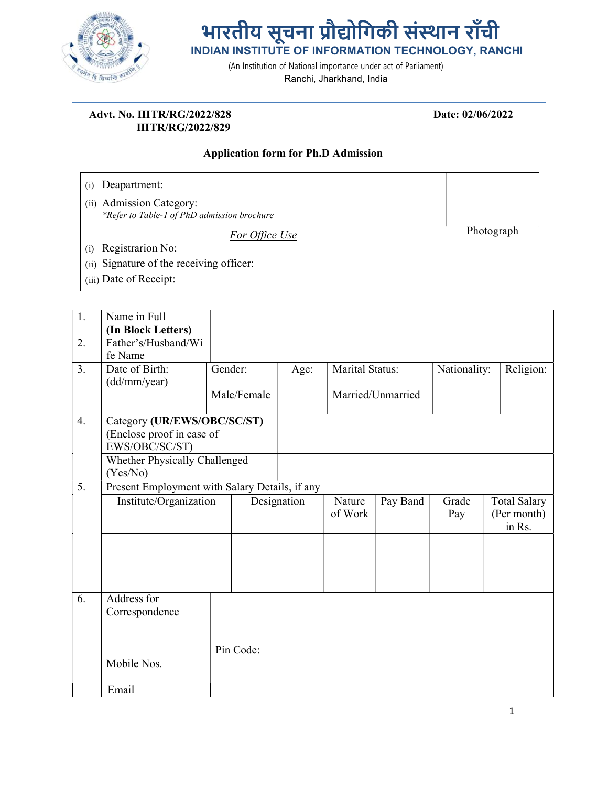

## भारतीय सूचना प्रौद्योगिकी संस्थान राँची INDIAN INSTITUTE OF INFORMATION TECHNOLOGY, RANCHI

(An Institution of National importance under act of Parliament)

Ranchi, Jharkhand, India

## Advt. No. IIITR/RG/2022/828 Date: 02/06/2022 IIITR/RG/2022/829

## Application form for Ph.D Admission

| Deapartment:                                                               |            |
|----------------------------------------------------------------------------|------------|
| Admission Category:<br>(ii)<br>*Refer to Table-1 of PhD admission brochure |            |
| For Office Use                                                             | Photograph |
| Registrarion No:<br>(i)                                                    |            |
| (ii) Signature of the receiving officer:                                   |            |
| (iii) Date of Receipt:                                                     |            |

| Name in Full<br>(In Block Letters)<br>Father's/Husband/Wi<br>fe Name<br>Date of Birth:<br>Religion:<br>Marital Status:<br>Gender:<br>Nationality:<br>Age:<br>(dd/mm/year) |  |
|---------------------------------------------------------------------------------------------------------------------------------------------------------------------------|--|
|                                                                                                                                                                           |  |
|                                                                                                                                                                           |  |
|                                                                                                                                                                           |  |
|                                                                                                                                                                           |  |
|                                                                                                                                                                           |  |
|                                                                                                                                                                           |  |
| Male/Female<br>Married/Unmarried                                                                                                                                          |  |
| Category (UR/EWS/OBC/SC/ST)                                                                                                                                               |  |
| (Enclose proof in case of                                                                                                                                                 |  |
| EWS/OBC/SC/ST)                                                                                                                                                            |  |
| Whether Physically Challenged                                                                                                                                             |  |
| (Yes/No)                                                                                                                                                                  |  |
| Present Employment with Salary Details, if any                                                                                                                            |  |
| Institute/Organization<br>Designation<br>Pay Band<br>Nature<br>Grade<br><b>Total Salary</b>                                                                               |  |
| of Work<br>(Per month)<br>Pay                                                                                                                                             |  |
| in Rs.                                                                                                                                                                    |  |
|                                                                                                                                                                           |  |
|                                                                                                                                                                           |  |
|                                                                                                                                                                           |  |
|                                                                                                                                                                           |  |
| Address for                                                                                                                                                               |  |
| Correspondence                                                                                                                                                            |  |
|                                                                                                                                                                           |  |
|                                                                                                                                                                           |  |
| Pin Code:                                                                                                                                                                 |  |
| Mobile Nos.                                                                                                                                                               |  |
|                                                                                                                                                                           |  |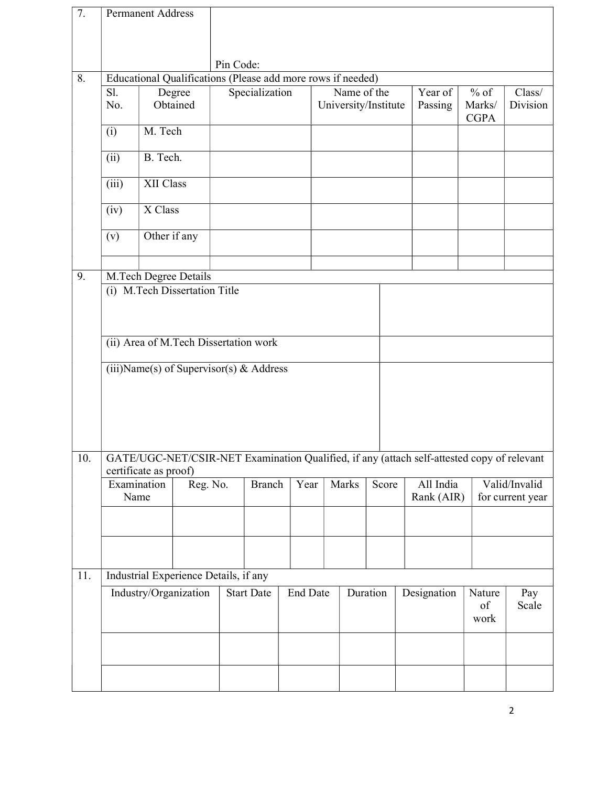| 7.  |                                  | <b>Permanent Address</b> |                                                             |                                       |                |  |                 |                                     |                |  |                                                                                            |                                 |                    |  |
|-----|----------------------------------|--------------------------|-------------------------------------------------------------|---------------------------------------|----------------|--|-----------------|-------------------------------------|----------------|--|--------------------------------------------------------------------------------------------|---------------------------------|--------------------|--|
|     |                                  |                          |                                                             |                                       |                |  |                 |                                     |                |  |                                                                                            |                                 |                    |  |
|     |                                  |                          |                                                             | Pin Code:                             |                |  |                 |                                     |                |  |                                                                                            |                                 |                    |  |
| 8.  |                                  |                          | Educational Qualifications (Please add more rows if needed) |                                       |                |  |                 |                                     |                |  |                                                                                            |                                 |                    |  |
|     | Sl.<br>Degree<br>Obtained<br>No. |                          |                                                             |                                       | Specialization |  |                 | Name of the<br>University/Institute |                |  | Year of<br>Passing                                                                         | $%$ of<br>Marks/<br><b>CGPA</b> | Class/<br>Division |  |
|     | (i)                              | M. Tech                  |                                                             |                                       |                |  |                 |                                     |                |  |                                                                                            |                                 |                    |  |
|     | (ii)                             | B. Tech.                 |                                                             |                                       |                |  |                 |                                     |                |  |                                                                                            |                                 |                    |  |
|     | (iii)                            | XII Class                |                                                             |                                       |                |  |                 |                                     |                |  |                                                                                            |                                 |                    |  |
|     | (iv)                             | X Class                  |                                                             |                                       |                |  |                 |                                     |                |  |                                                                                            |                                 |                    |  |
|     | (v)                              | Other if any             |                                                             |                                       |                |  |                 |                                     |                |  |                                                                                            |                                 |                    |  |
|     |                                  |                          |                                                             |                                       |                |  |                 |                                     |                |  |                                                                                            |                                 |                    |  |
| 9.  |                                  |                          | M.Tech Degree Details                                       |                                       |                |  |                 |                                     |                |  |                                                                                            |                                 |                    |  |
|     |                                  |                          | (i) M.Tech Dissertation Title                               |                                       |                |  |                 |                                     |                |  |                                                                                            |                                 |                    |  |
|     |                                  |                          |                                                             |                                       |                |  |                 |                                     |                |  |                                                                                            |                                 |                    |  |
|     |                                  |                          |                                                             |                                       |                |  |                 |                                     |                |  |                                                                                            |                                 |                    |  |
|     |                                  |                          | (ii) Area of M.Tech Dissertation work                       |                                       |                |  |                 |                                     |                |  |                                                                                            |                                 |                    |  |
|     |                                  |                          | (iii)Name(s) of Supervisor(s) & Address                     |                                       |                |  |                 |                                     |                |  |                                                                                            |                                 |                    |  |
|     |                                  |                          |                                                             |                                       |                |  |                 |                                     |                |  |                                                                                            |                                 |                    |  |
|     |                                  |                          |                                                             |                                       |                |  |                 |                                     |                |  |                                                                                            |                                 |                    |  |
|     |                                  |                          |                                                             |                                       |                |  |                 |                                     |                |  |                                                                                            |                                 |                    |  |
|     |                                  |                          |                                                             |                                       |                |  |                 |                                     |                |  |                                                                                            |                                 |                    |  |
|     |                                  |                          |                                                             |                                       |                |  |                 |                                     |                |  |                                                                                            |                                 |                    |  |
| 10. |                                  |                          |                                                             |                                       |                |  |                 |                                     |                |  | GATE/UGC-NET/CSIR-NET Examination Qualified, if any (attach self-attested copy of relevant |                                 |                    |  |
|     |                                  | certificate as proof)    |                                                             |                                       |                |  |                 |                                     |                |  |                                                                                            |                                 |                    |  |
|     | Reg. No.<br>Examination          |                          |                                                             | <b>Branch</b>                         |                |  | Year            |                                     | Marks<br>Score |  | All India                                                                                  | Valid/Invalid                   |                    |  |
|     |                                  | Name                     |                                                             |                                       |                |  |                 |                                     |                |  | Rank (AIR)                                                                                 |                                 | for current year   |  |
|     |                                  |                          |                                                             |                                       |                |  |                 |                                     |                |  |                                                                                            |                                 |                    |  |
|     |                                  |                          |                                                             |                                       |                |  |                 |                                     |                |  |                                                                                            |                                 |                    |  |
|     |                                  |                          |                                                             |                                       |                |  |                 |                                     |                |  |                                                                                            |                                 |                    |  |
|     |                                  |                          |                                                             |                                       |                |  |                 |                                     |                |  |                                                                                            |                                 |                    |  |
| 11. |                                  |                          |                                                             | Industrial Experience Details, if any |                |  |                 |                                     |                |  |                                                                                            |                                 |                    |  |
|     | Industry/Organization            |                          |                                                             | <b>Start Date</b>                     |                |  | <b>End Date</b> |                                     | Duration       |  | Designation                                                                                | Nature<br>of<br>work            | Pay<br>Scale       |  |
|     |                                  |                          |                                                             |                                       |                |  |                 |                                     |                |  |                                                                                            |                                 |                    |  |
|     |                                  |                          |                                                             |                                       |                |  |                 |                                     |                |  |                                                                                            |                                 |                    |  |
|     |                                  |                          |                                                             |                                       |                |  |                 |                                     |                |  |                                                                                            |                                 |                    |  |
|     |                                  |                          |                                                             |                                       |                |  |                 |                                     |                |  |                                                                                            |                                 |                    |  |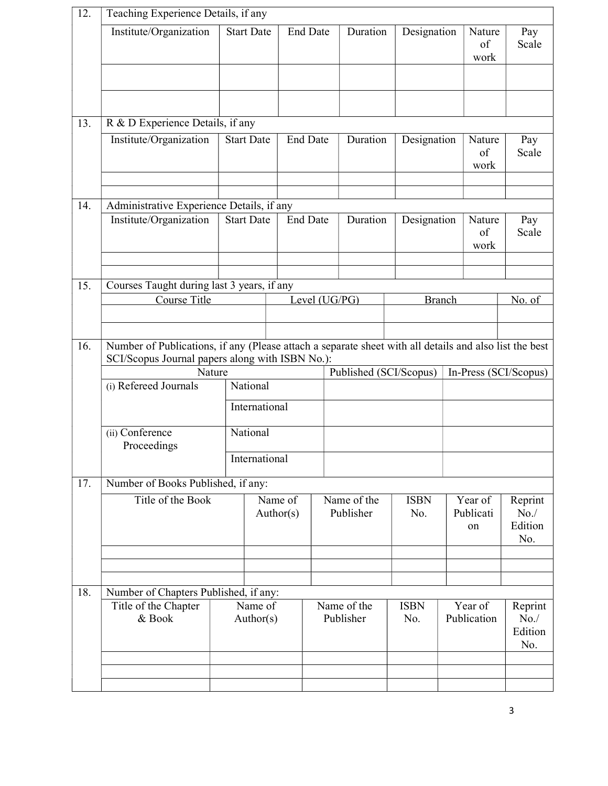| 12. | Teaching Experience Details, if any                                                                    |  |                      |                 |  |                          |                    |                       |                            |                                  |  |
|-----|--------------------------------------------------------------------------------------------------------|--|----------------------|-----------------|--|--------------------------|--------------------|-----------------------|----------------------------|----------------------------------|--|
|     | Institute/Organization                                                                                 |  | <b>Start Date</b>    | <b>End Date</b> |  | Duration                 | Designation        | Nature<br>of<br>work  |                            | Pay<br>Scale                     |  |
|     |                                                                                                        |  |                      |                 |  |                          |                    |                       |                            |                                  |  |
| 13. | R & D Experience Details, if any                                                                       |  |                      |                 |  |                          |                    |                       |                            |                                  |  |
|     | Institute/Organization                                                                                 |  | <b>Start Date</b>    | <b>End Date</b> |  | Duration                 | Designation        |                       | Nature<br>of<br>work       | Pay<br>Scale                     |  |
| 14. | Administrative Experience Details, if any                                                              |  |                      |                 |  |                          |                    |                       |                            |                                  |  |
|     | Institute/Organization                                                                                 |  | <b>Start Date</b>    | <b>End Date</b> |  | Duration                 | Designation        |                       | Nature<br>of<br>work       | Pay<br>Scale                     |  |
|     |                                                                                                        |  |                      |                 |  |                          |                    |                       |                            |                                  |  |
| 15. | Courses Taught during last 3 years, if any                                                             |  |                      |                 |  |                          |                    |                       |                            |                                  |  |
|     | Course Title                                                                                           |  |                      | Level (UG/PG)   |  |                          | <b>Branch</b>      |                       | No. of                     |                                  |  |
|     |                                                                                                        |  |                      |                 |  |                          |                    |                       |                            |                                  |  |
| 16. | Number of Publications, if any (Please attach a separate sheet with all details and also list the best |  |                      |                 |  |                          |                    |                       |                            |                                  |  |
|     | SCI/Scopus Journal papers along with ISBN No.):<br>Nature                                              |  |                      |                 |  | Published (SCI/Scopus)   |                    | In-Press (SCI/Scopus) |                            |                                  |  |
|     | (i) Refereed Journals                                                                                  |  | National             |                 |  |                          |                    |                       |                            |                                  |  |
|     |                                                                                                        |  | International        |                 |  |                          |                    |                       |                            |                                  |  |
|     | (ii) Conference<br>Proceedings                                                                         |  | National             |                 |  |                          |                    |                       |                            |                                  |  |
|     |                                                                                                        |  | International        |                 |  |                          |                    |                       |                            |                                  |  |
| 17. | Number of Books Published, if any:                                                                     |  |                      |                 |  |                          |                    |                       |                            |                                  |  |
|     | Title of the Book                                                                                      |  | Name of<br>Author(s) |                 |  | Name of the<br>Publisher | <b>ISBN</b><br>No. |                       | Year of<br>Publicati<br>on | Reprint<br>No.<br>Edition<br>No. |  |
|     |                                                                                                        |  |                      |                 |  |                          |                    |                       |                            |                                  |  |
|     |                                                                                                        |  |                      |                 |  |                          |                    |                       |                            |                                  |  |
| 18. | Number of Chapters Published, if any:                                                                  |  | Name of              |                 |  | Name of the              | <b>ISBN</b>        |                       | Year of                    | Reprint                          |  |
|     | Title of the Chapter<br>& Book                                                                         |  | Author(s)            |                 |  | Publisher                | No.                |                       | Publication                | No. /<br>Edition<br>No.          |  |
|     |                                                                                                        |  |                      |                 |  |                          |                    |                       |                            |                                  |  |
|     |                                                                                                        |  |                      |                 |  |                          |                    |                       |                            |                                  |  |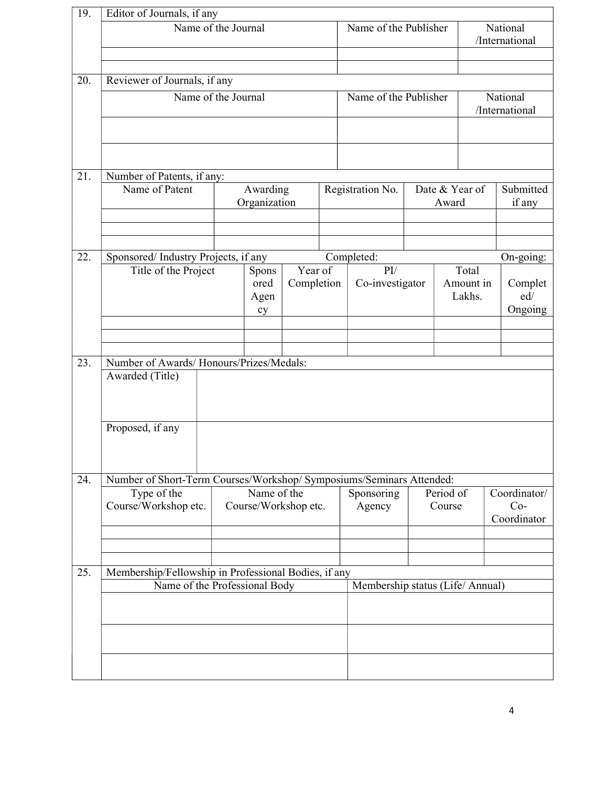| 19. | Editor of Journals, if any                                                   |    |                                  |            |  |                            |                  |                     |        |                       |             |  |  |  |
|-----|------------------------------------------------------------------------------|----|----------------------------------|------------|--|----------------------------|------------------|---------------------|--------|-----------------------|-------------|--|--|--|
|     | Name of the Journal                                                          |    | Name of the Publisher            |            |  | National                   |                  |                     |        |                       |             |  |  |  |
|     |                                                                              |    |                                  |            |  | /International             |                  |                     |        |                       |             |  |  |  |
|     |                                                                              |    |                                  |            |  |                            |                  |                     |        |                       |             |  |  |  |
| 20. |                                                                              |    |                                  |            |  |                            |                  |                     |        |                       |             |  |  |  |
|     | Reviewer of Journals, if any<br>Name of the Journal<br>Name of the Publisher |    |                                  |            |  |                            |                  |                     |        |                       |             |  |  |  |
|     |                                                                              |    |                                  |            |  | National<br>/International |                  |                     |        |                       |             |  |  |  |
|     |                                                                              |    |                                  |            |  |                            |                  |                     |        |                       |             |  |  |  |
|     |                                                                              |    |                                  |            |  |                            |                  |                     |        |                       |             |  |  |  |
|     |                                                                              |    |                                  |            |  |                            |                  |                     |        |                       |             |  |  |  |
|     |                                                                              |    |                                  |            |  |                            |                  |                     |        |                       |             |  |  |  |
| 21. | Number of Patents, if any:<br>Date & Year of                                 |    |                                  |            |  |                            |                  |                     |        |                       |             |  |  |  |
|     | Name of Patent                                                               |    | Awarding                         |            |  |                            | Registration No. |                     |        | Submitted             |             |  |  |  |
|     |                                                                              |    | Organization                     |            |  |                            |                  |                     | Award  |                       | if any      |  |  |  |
|     |                                                                              |    |                                  |            |  |                            |                  |                     |        |                       |             |  |  |  |
|     |                                                                              |    |                                  |            |  |                            |                  |                     |        |                       |             |  |  |  |
| 22. | Sponsored/Industry Projects, if any                                          |    |                                  |            |  |                            | Completed:       |                     |        |                       | On-going:   |  |  |  |
|     | Title of the Project                                                         |    | Spons                            | Year of    |  |                            | $\rm{PI}$        |                     |        | Total                 |             |  |  |  |
|     |                                                                              |    | ored                             | Completion |  |                            | Co-investigator  |                     |        | Amount in             | Complet     |  |  |  |
|     |                                                                              |    | Agen                             |            |  |                            |                  |                     | Lakhs. |                       | ed/         |  |  |  |
|     |                                                                              | cy |                                  |            |  |                            |                  |                     |        | Ongoing               |             |  |  |  |
|     |                                                                              |    |                                  |            |  |                            |                  |                     |        |                       |             |  |  |  |
|     |                                                                              |    |                                  |            |  |                            |                  |                     |        |                       |             |  |  |  |
| 23. | Number of Awards/Honours/Prizes/Medals:                                      |    |                                  |            |  |                            |                  |                     |        |                       |             |  |  |  |
|     | Awarded (Title)                                                              |    |                                  |            |  |                            |                  |                     |        |                       |             |  |  |  |
|     |                                                                              |    |                                  |            |  |                            |                  |                     |        |                       |             |  |  |  |
|     |                                                                              |    |                                  |            |  |                            |                  |                     |        |                       |             |  |  |  |
|     | Proposed, if any                                                             |    |                                  |            |  |                            |                  |                     |        |                       |             |  |  |  |
|     |                                                                              |    |                                  |            |  |                            |                  |                     |        |                       |             |  |  |  |
|     |                                                                              |    |                                  |            |  |                            |                  |                     |        |                       |             |  |  |  |
|     |                                                                              |    |                                  |            |  |                            |                  |                     |        |                       |             |  |  |  |
| 24. | Number of Short-Term Courses/Workshop/ Symposiums/Seminars Attended:         |    | Name of the                      |            |  |                            |                  |                     |        |                       |             |  |  |  |
|     | Type of the<br>Course/Workshop etc.                                          |    | Course/Workshop etc.             |            |  | Sponsoring<br>Agency       |                  | Period of<br>Course |        | Coordinator/<br>$Co-$ |             |  |  |  |
|     |                                                                              |    |                                  |            |  |                            |                  |                     |        |                       | Coordinator |  |  |  |
|     |                                                                              |    |                                  |            |  |                            |                  |                     |        |                       |             |  |  |  |
|     |                                                                              |    |                                  |            |  |                            |                  |                     |        |                       |             |  |  |  |
|     |                                                                              |    |                                  |            |  |                            |                  |                     |        |                       |             |  |  |  |
| 25. | Membership/Fellowship in Professional Bodies, if any                         |    |                                  |            |  |                            |                  |                     |        |                       |             |  |  |  |
|     | Name of the Professional Body                                                |    | Membership status (Life/ Annual) |            |  |                            |                  |                     |        |                       |             |  |  |  |
|     |                                                                              |    |                                  |            |  |                            |                  |                     |        |                       |             |  |  |  |
|     |                                                                              |    |                                  |            |  |                            |                  |                     |        |                       |             |  |  |  |
|     |                                                                              |    |                                  |            |  |                            |                  |                     |        |                       |             |  |  |  |
|     |                                                                              |    |                                  |            |  |                            |                  |                     |        |                       |             |  |  |  |
|     |                                                                              |    |                                  |            |  |                            |                  |                     |        |                       |             |  |  |  |